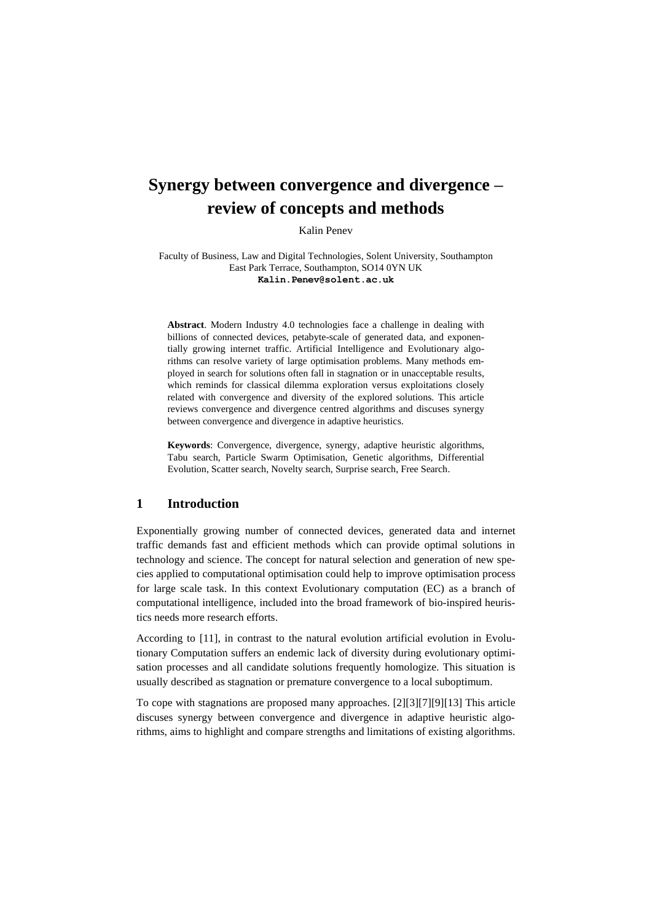# **Synergy between convergence and divergence – review of concepts and methods**

Kalin Penev

Faculty of Business, Law and Digital Technologies, Solent University, Southampton East Park Terrace, Southampton, SO14 0YN UK **[Kalin.Penev@solent.ac.uk](mailto:Kalin.Penev@solent.ac.uk)**

**Abstract**. Modern Industry 4.0 technologies face a challenge in dealing with billions of connected devices, petabyte-scale of generated data, and exponentially growing internet traffic. Artificial Intelligence and Evolutionary algorithms can resolve variety of large optimisation problems. Many methods employed in search for solutions often fall in stagnation or in unacceptable results, which reminds for classical dilemma exploration versus exploitations closely related with convergence and diversity of the explored solutions. This article reviews convergence and divergence centred algorithms and discuses synergy between convergence and divergence in adaptive heuristics.

**Keywords**: Convergence, divergence, synergy, adaptive heuristic algorithms, Tabu search, Particle Swarm Optimisation, Genetic algorithms, Differential Evolution, Scatter search, Novelty search, Surprise search, Free Search.

## **1 Introduction**

Exponentially growing number of connected devices, generated data and internet traffic demands fast and efficient methods which can provide optimal solutions in technology and science. The concept for natural selection and generation of new species applied to computational optimisation could help to improve optimisation process for large scale task. In this context Evolutionary computation (EC) as a branch of computational intelligence, included into the broad framework of bio-inspired heuristics needs more research efforts.

According to [11], in contrast to the natural evolution artificial evolution in Evolutionary Computation suffers an endemic lack of diversity during evolutionary optimisation processes and all candidate solutions frequently homologize. This situation is usually described as stagnation or premature convergence to a local suboptimum.

To cope with stagnations are proposed many approaches. [2][3][7][9][13] This article discuses synergy between convergence and divergence in adaptive heuristic algorithms, aims to highlight and compare strengths and limitations of existing algorithms.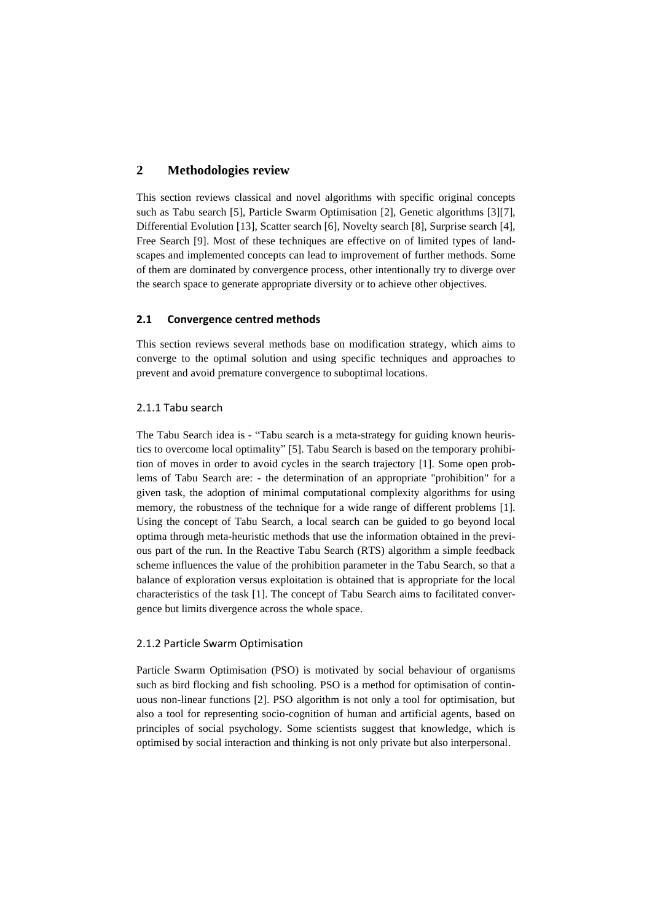# **2 Methodologies review**

This section reviews classical and novel algorithms with specific original concepts such as Tabu search [5], Particle Swarm Optimisation [2], Genetic algorithms [3][7], Differential Evolution [13], Scatter search [6], Novelty search [8], Surprise search [4], Free Search [9]. Most of these techniques are effective on of limited types of landscapes and implemented concepts can lead to improvement of further methods. Some of them are dominated by convergence process, other intentionally try to diverge over the search space to generate appropriate diversity or to achieve other objectives.

## **2.1 Convergence centred methods**

This section reviews several methods base on modification strategy, which aims to converge to the optimal solution and using specific techniques and approaches to prevent and avoid premature convergence to suboptimal locations.

#### 2.1.1 Tabu search

The Tabu Search idea is - "Tabu search is a meta-strategy for guiding known heuristics to overcome local optimality" [5]. Tabu Search is based on the temporary prohibition of moves in order to avoid cycles in the search trajectory [1]. Some open problems of Tabu Search are: - the determination of an appropriate "prohibition" for a given task, the adoption of minimal computational complexity algorithms for using memory, the robustness of the technique for a wide range of different problems [1]. Using the concept of Tabu Search, a local search can be guided to go beyond local optima through meta-heuristic methods that use the information obtained in the previous part of the run. In the Reactive Tabu Search (RTS) algorithm a simple feedback scheme influences the value of the prohibition parameter in the Tabu Search, so that a balance of exploration versus exploitation is obtained that is appropriate for the local characteristics of the task [1]. The concept of Tabu Search aims to facilitated convergence but limits divergence across the whole space.

### 2.1.2 Particle Swarm Optimisation

Particle Swarm Optimisation (PSO) is motivated by social behaviour of organisms such as bird flocking and fish schooling. PSO is a method for optimisation of continuous non-linear functions [2]. PSO algorithm is not only a tool for optimisation, but also a tool for representing socio-cognition of human and artificial agents, based on principles of social psychology. Some scientists suggest that knowledge, which is optimised by social interaction and thinking is not only private but also interpersonal.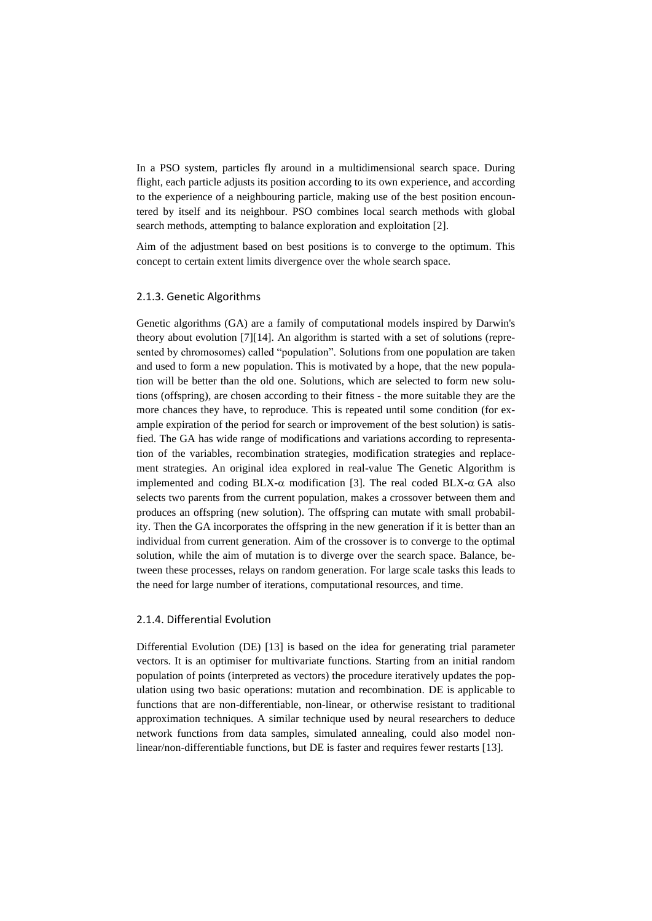In a PSO system, particles fly around in a multidimensional search space. During flight, each particle adjusts its position according to its own experience, and according to the experience of a neighbouring particle, making use of the best position encountered by itself and its neighbour. PSO combines local search methods with global search methods, attempting to balance exploration and exploitation [2].

Aim of the adjustment based on best positions is to converge to the optimum. This concept to certain extent limits divergence over the whole search space.

#### 2.1.3. Genetic Algorithms

Genetic algorithms (GA) are a family of computational models inspired by Darwin's theory about evolution [7][14]. An algorithm is started with a set of solutions (represented by chromosomes) called "population". Solutions from one population are taken and used to form a new population. This is motivated by a hope, that the new population will be better than the old one. Solutions, which are selected to form new solutions (offspring), are chosen according to their fitness - the more suitable they are the more chances they have, to reproduce. This is repeated until some condition (for example expiration of the period for search or improvement of the best solution) is satisfied. The GA has wide range of modifications and variations according to representation of the variables, recombination strategies, modification strategies and replacement strategies. An original idea explored in real-value The Genetic Algorithm is implemented and coding BLX- $\alpha$  modification [3]. The real coded BLX- $\alpha$  GA also selects two parents from the current population, makes a crossover between them and produces an offspring (new solution). The offspring can mutate with small probability. Then the GA incorporates the offspring in the new generation if it is better than an individual from current generation. Aim of the crossover is to converge to the optimal solution, while the aim of mutation is to diverge over the search space. Balance, between these processes, relays on random generation. For large scale tasks this leads to the need for large number of iterations, computational resources, and time.

### 2.1.4. Differential Evolution

Differential Evolution (DE) [13] is based on the idea for generating trial parameter vectors. It is an optimiser for multivariate functions. Starting from an initial random population of points (interpreted as vectors) the procedure iteratively updates the population using two basic operations: mutation and recombination. DE is applicable to functions that are non-differentiable, non-linear, or otherwise resistant to traditional approximation techniques. A similar technique used by neural researchers to deduce network functions from data samples, simulated annealing, could also model nonlinear/non-differentiable functions, but DE is faster and requires fewer restarts [13].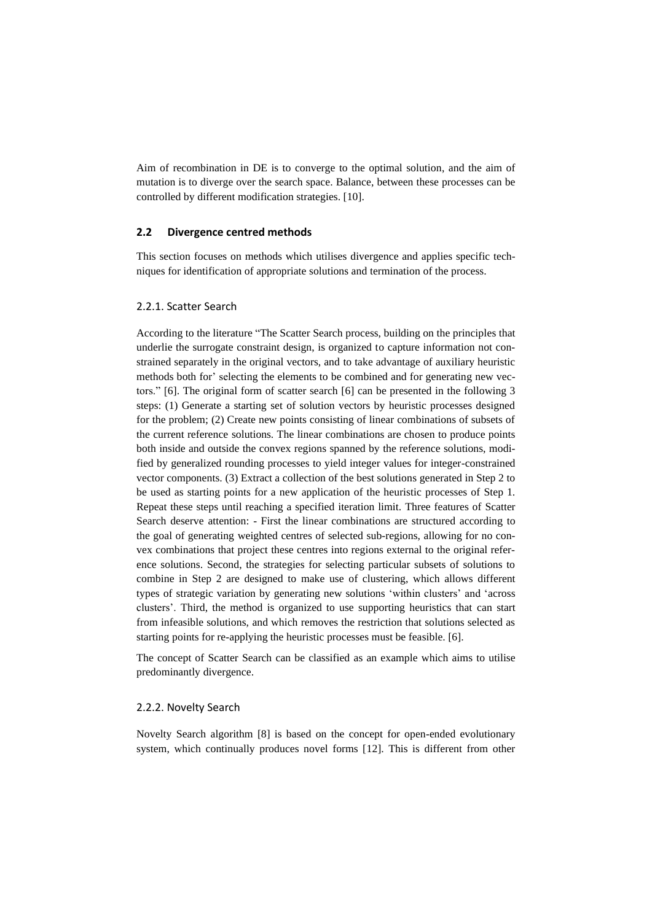Aim of recombination in DE is to converge to the optimal solution, and the aim of mutation is to diverge over the search space. Balance, between these processes can be controlled by different modification strategies. [10].

## **2.2 Divergence centred methods**

This section focuses on methods which utilises divergence and applies specific techniques for identification of appropriate solutions and termination of the process.

#### 2.2.1. Scatter Search

According to the literature "The Scatter Search process, building on the principles that underlie the surrogate constraint design, is organized to capture information not constrained separately in the original vectors, and to take advantage of auxiliary heuristic methods both for' selecting the elements to be combined and for generating new vectors." [6]. The original form of scatter search [6] can be presented in the following 3 steps: (1) Generate a starting set of solution vectors by heuristic processes designed for the problem; (2) Create new points consisting of linear combinations of subsets of the current reference solutions. The linear combinations are chosen to produce points both inside and outside the convex regions spanned by the reference solutions, modified by generalized rounding processes to yield integer values for integer-constrained vector components. (3) Extract a collection of the best solutions generated in Step 2 to be used as starting points for a new application of the heuristic processes of Step 1. Repeat these steps until reaching a specified iteration limit. Three features of Scatter Search deserve attention: - First the linear combinations are structured according to the goal of generating weighted centres of selected sub-regions, allowing for no convex combinations that project these centres into regions external to the original reference solutions. Second, the strategies for selecting particular subsets of solutions to combine in Step 2 are designed to make use of clustering, which allows different types of strategic variation by generating new solutions 'within clusters' and 'across clusters'. Third, the method is organized to use supporting heuristics that can start from infeasible solutions, and which removes the restriction that solutions selected as starting points for re-applying the heuristic processes must be feasible. [6].

The concept of Scatter Search can be classified as an example which aims to utilise predominantly divergence.

### 2.2.2. Novelty Search

Novelty Search algorithm [8] is based on the concept for open-ended evolutionary system, which continually produces novel forms [12]. This is different from other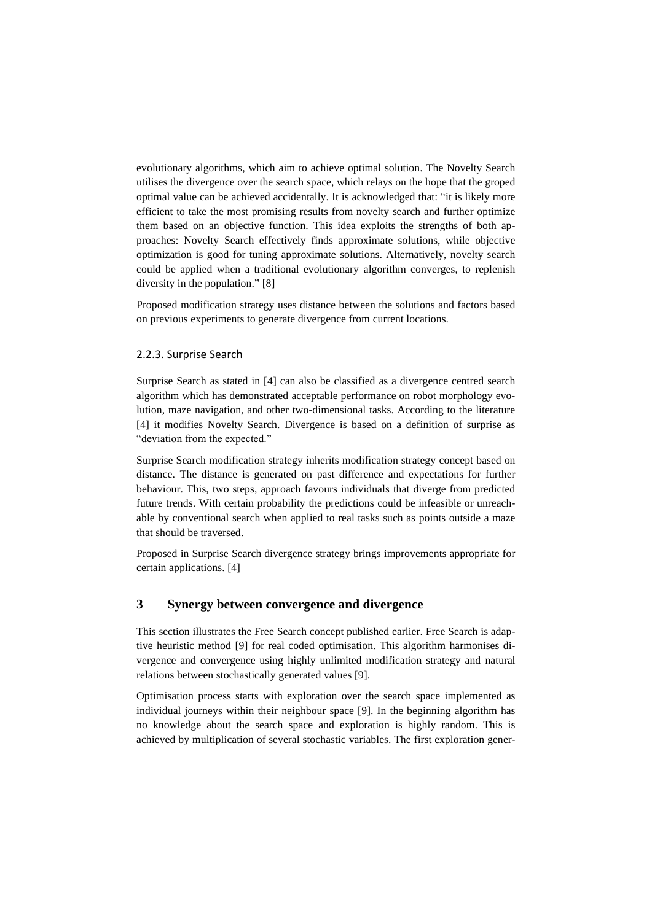evolutionary algorithms, which aim to achieve optimal solution. The Novelty Search utilises the divergence over the search space, which relays on the hope that the groped optimal value can be achieved accidentally. It is acknowledged that: "it is likely more efficient to take the most promising results from novelty search and further optimize them based on an objective function. This idea exploits the strengths of both approaches: Novelty Search effectively finds approximate solutions, while objective optimization is good for tuning approximate solutions. Alternatively, novelty search could be applied when a traditional evolutionary algorithm converges, to replenish diversity in the population." [8]

Proposed modification strategy uses distance between the solutions and factors based on previous experiments to generate divergence from current locations.

## 2.2.3. Surprise Search

Surprise Search as stated in [4] can also be classified as a divergence centred search algorithm which has demonstrated acceptable performance on robot morphology evolution, maze navigation, and other two-dimensional tasks. According to the literature [4] it modifies Novelty Search. Divergence is based on a definition of surprise as "deviation from the expected."

Surprise Search modification strategy inherits modification strategy concept based on distance. The distance is generated on past difference and expectations for further behaviour. This, two steps, approach favours individuals that diverge from predicted future trends. With certain probability the predictions could be infeasible or unreachable by conventional search when applied to real tasks such as points outside a maze that should be traversed.

Proposed in Surprise Search divergence strategy brings improvements appropriate for certain applications. [4]

# **3 Synergy between convergence and divergence**

This section illustrates the Free Search concept published earlier. Free Search is adaptive heuristic method [9] for real coded optimisation. This algorithm harmonises divergence and convergence using highly unlimited modification strategy and natural relations between stochastically generated values [9].

Optimisation process starts with exploration over the search space implemented as individual journeys within their neighbour space [9]. In the beginning algorithm has no knowledge about the search space and exploration is highly random. This is achieved by multiplication of several stochastic variables. The first exploration gener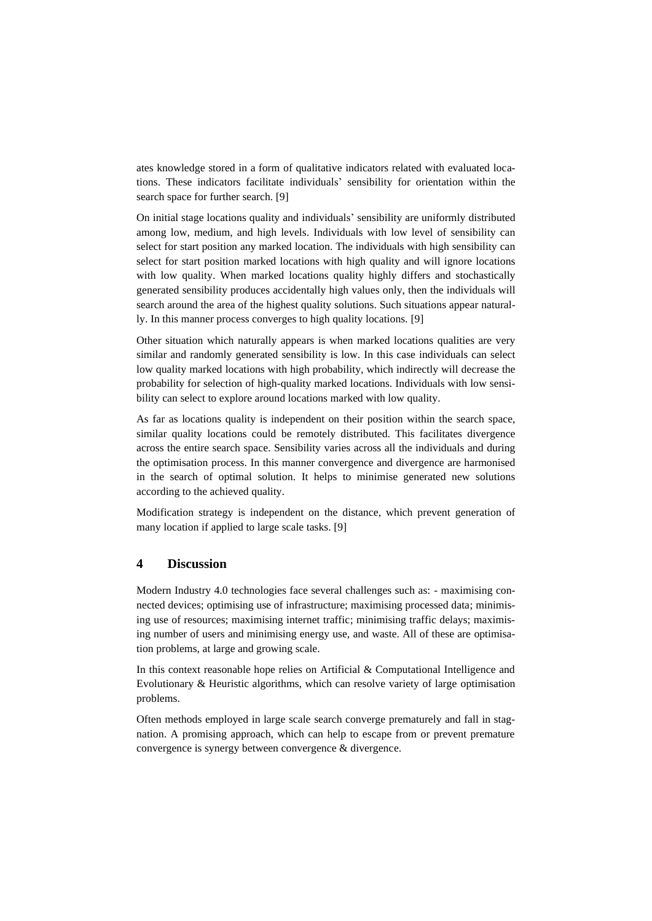ates knowledge stored in a form of qualitative indicators related with evaluated locations. These indicators facilitate individuals' sensibility for orientation within the search space for further search. [9]

On initial stage locations quality and individuals' sensibility are uniformly distributed among low, medium, and high levels. Individuals with low level of sensibility can select for start position any marked location. The individuals with high sensibility can select for start position marked locations with high quality and will ignore locations with low quality. When marked locations quality highly differs and stochastically generated sensibility produces accidentally high values only, then the individuals will search around the area of the highest quality solutions. Such situations appear naturally. In this manner process converges to high quality locations. [9]

Other situation which naturally appears is when marked locations qualities are very similar and randomly generated sensibility is low. In this case individuals can select low quality marked locations with high probability, which indirectly will decrease the probability for selection of high-quality marked locations. Individuals with low sensibility can select to explore around locations marked with low quality.

As far as locations quality is independent on their position within the search space, similar quality locations could be remotely distributed. This facilitates divergence across the entire search space. Sensibility varies across all the individuals and during the optimisation process. In this manner convergence and divergence are harmonised in the search of optimal solution. It helps to minimise generated new solutions according to the achieved quality.

Modification strategy is independent on the distance, which prevent generation of many location if applied to large scale tasks. [9]

## **4 Discussion**

Modern Industry 4.0 technologies face several challenges such as: - maximising connected devices; optimising use of infrastructure; maximising processed data; minimising use of resources; maximising internet traffic; minimising traffic delays; maximising number of users and minimising energy use, and waste. All of these are optimisation problems, at large and growing scale.

In this context reasonable hope relies on Artificial & Computational Intelligence and Evolutionary & Heuristic algorithms, which can resolve variety of large optimisation problems.

Often methods employed in large scale search converge prematurely and fall in stagnation. A promising approach, which can help to escape from or prevent premature convergence is synergy between convergence & divergence.